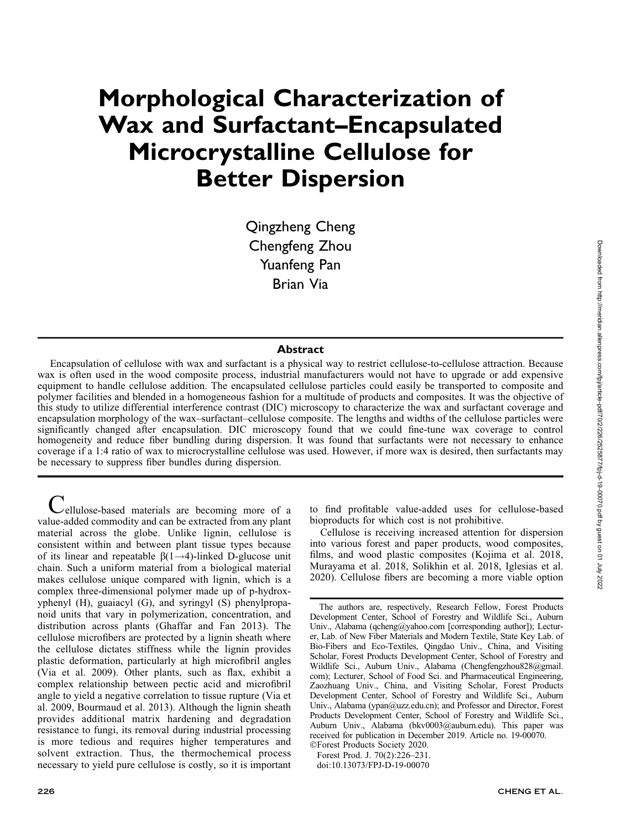# Morphological Characterization of Wax and Surfactant–Encapsulated Microcrystalline Cellulose for Better Dispersion

Qingzheng Cheng Chengfeng Zhou Yuanfeng Pan Brian Via

#### Abstract

Encapsulation of cellulose with wax and surfactant is a physical way to restrict cellulose-to-cellulose attraction. Because wax is often used in the wood composite process, industrial manufacturers would not have to upgrade or add expensive equipment to handle cellulose addition. The encapsulated cellulose particles could easily be transported to composite and polymer facilities and blended in a homogeneous fashion for a multitude of products and composites. It was the objective of this study to utilize differential interference contrast (DIC) microscopy to characterize the wax and surfactant coverage and encapsulation morphology of the wax–surfactant–cellulose composite. The lengths and widths of the cellulose particles were significantly changed after encapsulation. DIC microscopy found that we could fine-tune wax coverage to control homogeneity and reduce fiber bundling during dispersion. It was found that surfactants were not necessary to enhance coverage if a 1:4 ratio of wax to microcrystalline cellulose was used. However, if more wax is desired, then surfactants may be necessary to suppress fiber bundles during dispersion.

Cellulose-based materials are becoming more of a value-added commodity and can be extracted from any plant material across the globe. Unlike lignin, cellulose is consistent within and between plant tissue types because of its linear and repeatable  $\beta(1\rightarrow 4)$ -linked D-glucose unit chain. Such a uniform material from a biological material makes cellulose unique compared with lignin, which is a complex three-dimensional polymer made up of p-hydroxyphenyl (H), guaiacyl (G), and syringyl (S) phenylpropanoid units that vary in polymerization, concentration, and distribution across plants (Ghaffar and Fan 2013). The cellulose microfibers are protected by a lignin sheath where the cellulose dictates stiffness while the lignin provides plastic deformation, particularly at high microfibril angles (Via et al. 2009). Other plants, such as flax, exhibit a complex relationship between pectic acid and microfibril angle to yield a negative correlation to tissue rupture (Via et al. 2009, Bourmaud et al. 2013). Although the lignin sheath provides additional matrix hardening and degradation resistance to fungi, its removal during industrial processing is more tedious and requires higher temperatures and solvent extraction. Thus, the thermochemical process necessary to yield pure cellulose is costly, so it is important

to find profitable value-added uses for cellulose-based bioproducts for which cost is not prohibitive.

Cellulose is receiving increased attention for dispersion into various forest and paper products, wood composites, films, and wood plastic composites (Kojima et al. 2018, Murayama et al. 2018, Solikhin et al. 2018, Iglesias et al. 2020). Cellulose fibers are becoming a more viable option

The authors are, respectively, Research Fellow, Forest Products Development Center, School of Forestry and Wildlife Sci., Auburn Univ., Alabama (qcheng@yahoo.com [corresponding author]); Lecturer, Lab. of New Fiber Materials and Modern Textile, State Key Lab. of Bio-Fibers and Eco-Textiles, Qingdao Univ., China, and Visiting Scholar, Forest Products Development Center, School of Forestry and Wildlife Sci., Auburn Univ., Alabama (Chengfengzhou828@gmail. com); Lecturer, School of Food Sci. and Pharmaceutical Engineering, Zaozhuang Univ., China, and Visiting Scholar, Forest Products Development Center, School of Forestry and Wildlife Sci., Auburn Univ., Alabama (ypan@uzz.edu.cn); and Professor and Director, Forest Products Development Center, School of Forestry and Wildlife Sci., Auburn Univ., Alabama (bkv0003@auburn.edu). This paper was received for publication in December 2019. Article no. 19-00070. -Forest Products Society 2020.

Forest Prod. J. 70(2):226–231. doi:10.13073/FPJ-D-19-00070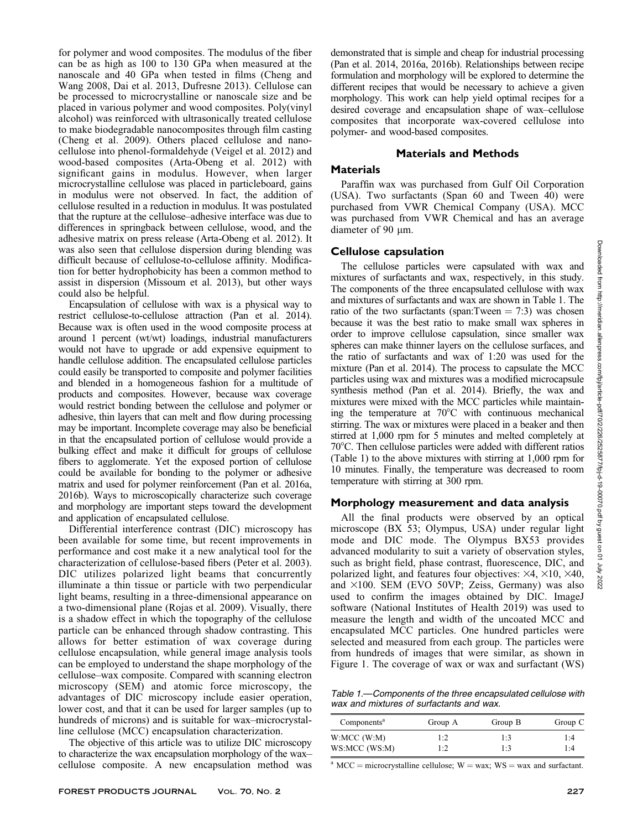for polymer and wood composites. The modulus of the fiber can be as high as 100 to 130 GPa when measured at the nanoscale and 40 GPa when tested in films (Cheng and Wang 2008, Dai et al. 2013, Dufresne 2013). Cellulose can be processed to microcrystalline or nanoscale size and be placed in various polymer and wood composites. Poly(vinyl alcohol) was reinforced with ultrasonically treated cellulose to make biodegradable nanocomposites through film casting (Cheng et al. 2009). Others placed cellulose and nanocellulose into phenol-formaldehyde (Veigel et al. 2012) and wood-based composites (Arta-Obeng et al. 2012) with significant gains in modulus. However, when larger microcrystalline cellulose was placed in particleboard, gains in modulus were not observed. In fact, the addition of cellulose resulted in a reduction in modulus. It was postulated that the rupture at the cellulose–adhesive interface was due to differences in springback between cellulose, wood, and the adhesive matrix on press release (Arta-Obeng et al. 2012). It was also seen that cellulose dispersion during blending was difficult because of cellulose-to-cellulose affinity. Modification for better hydrophobicity has been a common method to assist in dispersion (Missoum et al. 2013), but other ways could also be helpful.

Encapsulation of cellulose with wax is a physical way to restrict cellulose-to-cellulose attraction (Pan et al. 2014). Because wax is often used in the wood composite process at around 1 percent (wt/wt) loadings, industrial manufacturers would not have to upgrade or add expensive equipment to handle cellulose addition. The encapsulated cellulose particles could easily be transported to composite and polymer facilities and blended in a homogeneous fashion for a multitude of products and composites. However, because wax coverage would restrict bonding between the cellulose and polymer or adhesive, thin layers that can melt and flow during processing may be important. Incomplete coverage may also be beneficial in that the encapsulated portion of cellulose would provide a bulking effect and make it difficult for groups of cellulose fibers to agglomerate. Yet the exposed portion of cellulose could be available for bonding to the polymer or adhesive matrix and used for polymer reinforcement (Pan et al. 2016a, 2016b). Ways to microscopically characterize such coverage and morphology are important steps toward the development and application of encapsulated cellulose.

Differential interference contrast (DIC) microscopy has been available for some time, but recent improvements in performance and cost make it a new analytical tool for the characterization of cellulose-based fibers (Peter et al. 2003). DIC utilizes polarized light beams that concurrently illuminate a thin tissue or particle with two perpendicular light beams, resulting in a three-dimensional appearance on a two-dimensional plane (Rojas et al. 2009). Visually, there is a shadow effect in which the topography of the cellulose particle can be enhanced through shadow contrasting. This allows for better estimation of wax coverage during cellulose encapsulation, while general image analysis tools can be employed to understand the shape morphology of the cellulose–wax composite. Compared with scanning electron microscopy (SEM) and atomic force microscopy, the advantages of DIC microscopy include easier operation, lower cost, and that it can be used for larger samples (up to hundreds of microns) and is suitable for wax–microcrystalline cellulose (MCC) encapsulation characterization.

The objective of this article was to utilize DIC microscopy to characterize the wax encapsulation morphology of the wax– cellulose composite. A new encapsulation method was demonstrated that is simple and cheap for industrial processing (Pan et al. 2014, 2016a, 2016b). Relationships between recipe formulation and morphology will be explored to determine the different recipes that would be necessary to achieve a given morphology. This work can help yield optimal recipes for a desired coverage and encapsulation shape of wax–cellulose composites that incorporate wax-covered cellulose into polymer- and wood-based composites.

## Materials and Methods

## Materials

Paraffin wax was purchased from Gulf Oil Corporation (USA). Two surfactants (Span 60 and Tween 40) were purchased from VWR Chemical Company (USA). MCC was purchased from VWR Chemical and has an average diameter of 90 um.

# Cellulose capsulation

The cellulose particles were capsulated with wax and mixtures of surfactants and wax, respectively, in this study. The components of the three encapsulated cellulose with wax and mixtures of surfactants and wax are shown in Table 1. The ratio of the two surfactants (span:Tween  $= 7:3$ ) was chosen because it was the best ratio to make small wax spheres in order to improve cellulose capsulation, since smaller wax spheres can make thinner layers on the cellulose surfaces, and the ratio of surfactants and wax of 1:20 was used for the mixture (Pan et al. 2014). The process to capsulate the MCC particles using wax and mixtures was a modified microcapsule synthesis method (Pan et al. 2014). Briefly, the wax and mixtures were mixed with the MCC particles while maintaining the temperature at  $70^{\circ}$ C with continuous mechanical stirring. The wax or mixtures were placed in a beaker and then stirred at 1,000 rpm for 5 minutes and melted completely at 708C. Then cellulose particles were added with different ratios (Table 1) to the above mixtures with stirring at 1,000 rpm for 10 minutes. Finally, the temperature was decreased to room temperature with stirring at 300 rpm.

# Morphology measurement and data analysis

All the final products were observed by an optical microscope (BX 53; Olympus, USA) under regular light mode and DIC mode. The Olympus BX53 provides advanced modularity to suit a variety of observation styles, such as bright field, phase contrast, fluorescence, DIC, and polarized light, and features four objectives:  $\times 4$ ,  $\times 10$ ,  $\times 40$ , and  $\times 100$ . SEM (EVO 50VP; Zeiss, Germany) was also used to confirm the images obtained by DIC. ImageJ software (National Institutes of Health 2019) was used to measure the length and width of the uncoated MCC and encapsulated MCC particles. One hundred particles were selected and measured from each group. The particles were from hundreds of images that were similar, as shown in Figure 1. The coverage of wax or wax and surfactant (WS)

Table 1.—Components of the three encapsulated cellulose with wax and mixtures of surfactants and wax.

| Components <sup>a</sup> | Group A | Group B | Group C |
|-------------------------|---------|---------|---------|
| W:MCC(W:M)              | 1:2     | 1:3     | 1:4     |
| WS:MCC (WS:M)           | 1:2     | 1:3     | 1:4     |

<sup>a</sup> MCC = microcrystalline cellulose; W = wax; WS = wax and surfactant.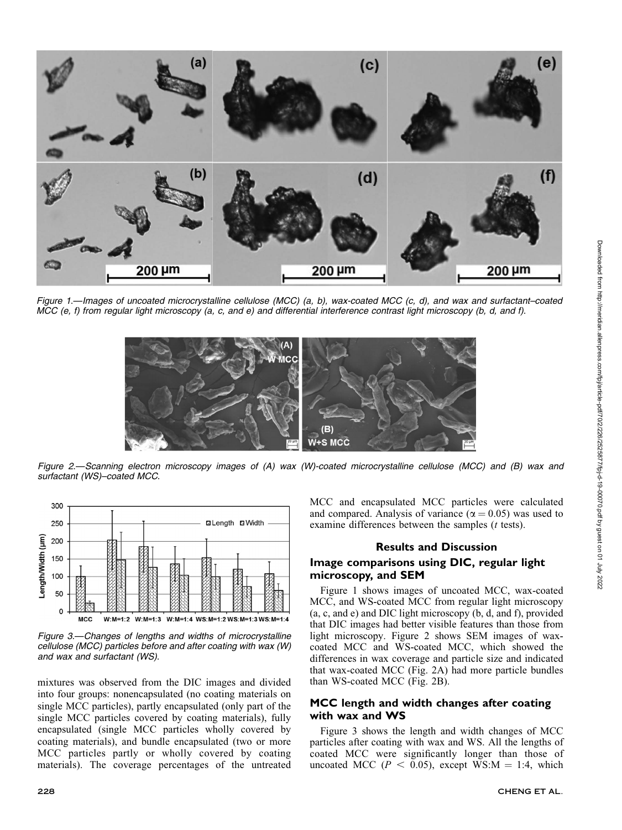

Figure 1.—Images of uncoated microcrystalline cellulose (MCC) (a, b), wax-coated MCC (c, d), and wax and surfactant–coated MCC (e, f) from regular light microscopy (a, c, and e) and differential interference contrast light microscopy (b, d, and f).



Figure 2.—Scanning electron microscopy images of (A) wax (W)-coated microcrystalline cellulose (MCC) and (B) wax and surfactant (WS)–coated MCC.



Figure 3.—Changes of lengths and widths of microcrystalline cellulose (MCC) particles before and after coating with wax (W) and wax and surfactant (WS).

mixtures was observed from the DIC images and divided into four groups: nonencapsulated (no coating materials on single MCC particles), partly encapsulated (only part of the single MCC particles covered by coating materials), fully encapsulated (single MCC particles wholly covered by coating materials), and bundle encapsulated (two or more MCC particles partly or wholly covered by coating materials). The coverage percentages of the untreated MCC and encapsulated MCC particles were calculated and compared. Analysis of variance ( $\alpha = 0.05$ ) was used to examine differences between the samples (*t* tests).

#### Results and Discussion

#### Image comparisons using DIC, regular light microscopy, and SEM

Figure 1 shows images of uncoated MCC, wax-coated MCC, and WS-coated MCC from regular light microscopy (a, c, and e) and DIC light microscopy (b, d, and f), provided that DIC images had better visible features than those from light microscopy. Figure 2 shows SEM images of waxcoated MCC and WS-coated MCC, which showed the differences in wax coverage and particle size and indicated that wax-coated MCC (Fig. 2A) had more particle bundles than WS-coated MCC (Fig. 2B).

## MCC length and width changes after coating with wax and WS

Figure 3 shows the length and width changes of MCC particles after coating with wax and WS. All the lengths of coated MCC were significantly longer than those of uncoated MCC ( $P < 0.05$ ), except WS:M = 1:4, which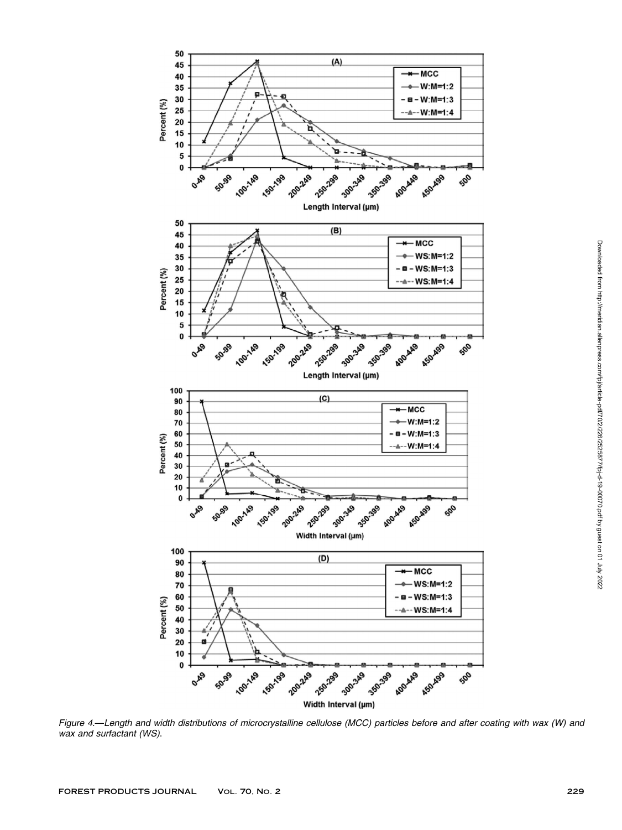

Figure 4.—Length and width distributions of microcrystalline cellulose (MCC) particles before and after coating with wax (W) and wax and surfactant (WS).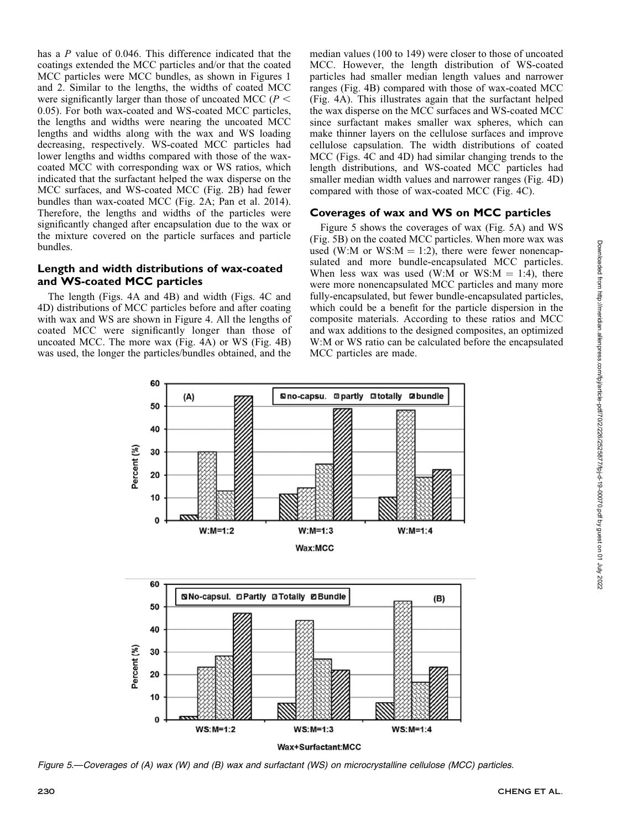has a P value of 0.046. This difference indicated that the coatings extended the MCC particles and/or that the coated MCC particles were MCC bundles, as shown in Figures 1 and 2. Similar to the lengths, the widths of coated MCC were significantly larger than those of uncoated MCC ( $P <$ 0.05). For both wax-coated and WS-coated MCC particles, the lengths and widths were nearing the uncoated MCC lengths and widths along with the wax and WS loading decreasing, respectively. WS-coated MCC particles had lower lengths and widths compared with those of the waxcoated MCC with corresponding wax or WS ratios, which indicated that the surfactant helped the wax disperse on the MCC surfaces, and WS-coated MCC (Fig. 2B) had fewer bundles than wax-coated MCC (Fig. 2A; Pan et al. 2014). Therefore, the lengths and widths of the particles were significantly changed after encapsulation due to the wax or the mixture covered on the particle surfaces and particle bundles.

## Length and width distributions of wax-coated and WS-coated MCC particles

The length (Figs. 4A and 4B) and width (Figs. 4C and 4D) distributions of MCC particles before and after coating with wax and WS are shown in Figure 4. All the lengths of coated MCC were significantly longer than those of uncoated MCC. The more wax (Fig. 4A) or WS (Fig. 4B) was used, the longer the particles/bundles obtained, and the median values (100 to 149) were closer to those of uncoated MCC. However, the length distribution of WS-coated particles had smaller median length values and narrower ranges (Fig. 4B) compared with those of wax-coated MCC (Fig. 4A). This illustrates again that the surfactant helped the wax disperse on the MCC surfaces and WS-coated MCC since surfactant makes smaller wax spheres, which can make thinner layers on the cellulose surfaces and improve cellulose capsulation. The width distributions of coated MCC (Figs. 4C and 4D) had similar changing trends to the length distributions, and WS-coated MCC particles had smaller median width values and narrower ranges (Fig. 4D) compared with those of wax-coated MCC (Fig. 4C).

## Coverages of wax and WS on MCC particles

Figure 5 shows the coverages of wax (Fig. 5A) and WS (Fig. 5B) on the coated MCC particles. When more wax was used (W:M or WS: $M = 1:2$ ), there were fewer nonencapsulated and more bundle-encapsulated MCC particles. When less wax was used (W:M or WS: $M = 1:4$ ), there were more nonencapsulated MCC particles and many more fully-encapsulated, but fewer bundle-encapsulated particles, which could be a benefit for the particle dispersion in the composite materials. According to these ratios and MCC and wax additions to the designed composites, an optimized W:M or WS ratio can be calculated before the encapsulated MCC particles are made.



Figure 5.—Coverages of (A) wax (W) and (B) wax and surfactant (WS) on microcrystalline cellulose (MCC) particles.